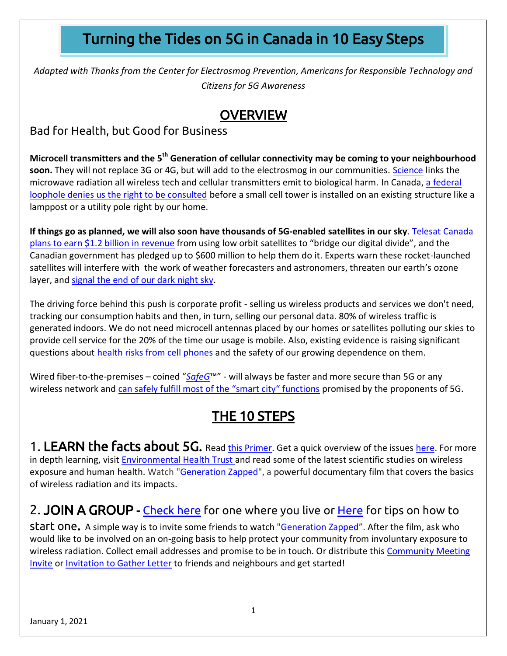# Turning the Tides on 5G in Canada in 10 Easy Steps

*Adapted with Thanks from the Center for Electrosmog Prevention, Americans for Responsible Technology and Citizens for 5G Awareness*

## **OVERVIEW**

Bad for Health, but Good for Business

**Microcell transmitters and the 5th Generation of cellular connectivity may be coming to your neighbourhood soon.** They will not replace 3G or 4G, but will add to the electrosmog in our communities. [Science](https://www.5gcrisis.com/science) links the microwave radiation all wireless tech and cellular transmitters emit to biological harm. In Canada[, a federal](https://www.youtube.com/watch?v=PpKBq5XgVqU)  [loophole denies us the right to be consulted](https://www.youtube.com/watch?v=PpKBq5XgVqU) before a small cell tower is installed on an existing structure like a lamppost or a utility pole right by our home.

If things go as planned, we will also soon have thousands of 5G-enabled satellites in our sky. Telesat [Canada](https://www.telesat.com/press/press-releases/the-government-of-canada-and-telesat-partner-to-bridge-canadas-digital-divide-through-low-earth-orbit-leo-satellite-technology-over-1-billion-in-revenue-for-telesat-expected/) plans to earn \$1.2 billion in [revenue](https://www.telesat.com/press/press-releases/the-government-of-canada-and-telesat-partner-to-bridge-canadas-digital-divide-through-low-earth-orbit-leo-satellite-technology-over-1-billion-in-revenue-for-telesat-expected/) from using low orbit satellites to "bridge our digital divide", and the Canadian government has pledged up to \$600 million to help them do it. Experts warn these rocket-launched satellites will interfere with the work of weather forecasters and astronomers, threaten our earth's ozone layer, and [signal](https://www.forbes.com/sites/startswithabang/2020/01/30/dangers-to-astronomy-intensify-with-spacexs-latest-starlink-launch/?sh=45d0c3156a57) the end of our dark night sky.

The driving force behind this push is corporate profit - selling us wireless products and services we don't need, tracking our consumption habits and then, in turn, selling our personal data. 80% of wireless traffic is generated indoors. We do not need microcell antennas placed by our homes or satellites polluting our skies to provide cell service for the 20% of the time our usage is mobile. Also, existing evidence is raising significant questions about health risks from cell [phones](https://ehtrust.org/key-issues/cell-phoneswireless/cell-phones/) and the safety of our growing dependence on them.

Wired fiber-to-the-premises – coined "*[SafeG](https://safeg.net/home/)*™" - will always be faster and more secure than 5G or any wireless network and [can safely fulfill most of the "smart city" functions](https://connected-communities.ca/wired-smart-cities) promised by the proponents of 5G.

# THE 10 STEPS

1. LEARN the facts about 5G. Read [this Primer.](https://thecalm.ca/primer-microcells-and-5g-in-canada_january-1_2021) Get a quick overview of the issues [here.](https://thecalm.ca/wp-content/uploads/2019/08/Talking-Points-for-5G.pdf) For more in depth learning, visit **Environmental Health Trust** and read some of the latest scientific studies on wireless exposure and human health. Watch ["Generation Zapped"](https://generationzapped.com/#gen-trailer), a powerful documentary film that covers the basics of wireless radiation and its impacts.

## 2. JOIN A GROUP - [Check here](https://thecalm.ca/tool-kit/building-a-movement/join-a-group) for one where you live or [Here](https://thecalm.ca/create-a-community-group) for tips on how to

start one. A simple way is to invite some friends to watch ["Generation Zapped](https://generationzapped.com/#gen-trailer)". After the film, ask who would like to be involved on an on-going basis to help protect your community from involuntary exposure to wireless radiation. Collect email addresses and promise to be in touch. Or distribute this [Community Meeting](https://thecalm.ca/invitation-to-a-community-meeting-4)  [Invite](https://thecalm.ca/invitation-to-a-community-meeting-4) or [Invitation to Gather Letter](https://thecalm.ca/invitation-to-gather-letter) to friends and neighbours and get started!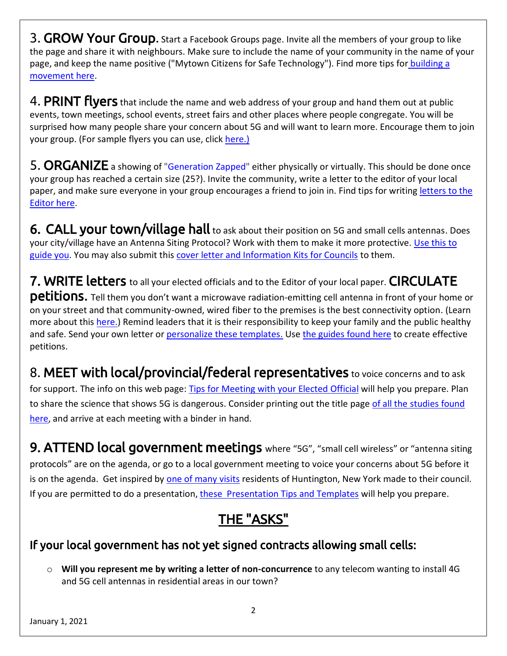3. GROW Your Group. Start a Facebook Groups page. Invite all the members of your group to like the page and share it with neighbours. Make sure to include the name of your community in the name of your page, and keep the name positive ("Mytown Citizens for Safe Technology"). Find more tips for building a [movement here.](https://thecalm.ca/tool-kit/building-a-movement)

4. PRINT flyers that include the name and web address of your group and hand them out at public events, town meetings, school events, street fairs and other places where people congregate. You will be surprised how many people share your concern about 5G and will want to learn more. Encourage them to join your group. (For sample flyers you can use, click [here.\)](https://thecalm.ca/tool-kit/resources-to-share/info-flyers)

5. ORGANIZE a showing of ["Generation Zapped"](https://generationzapped.com/#gen-trailer) either physically or virtually. This should be done once your group has reached a certain size (25?). Invite the community, write a letter to the editor of your local paper, and make sure everyone in your group encourages a friend to join in. Find tips for writing letters to the [Editor here](https://thecalm.ca/guide-to-writing-letters-to-the-editor-on-5g-microcells).

6. CALL your town/village hall to ask about their position on 5G and small cells antennas. Does your city/village have an Antenna Siting Protocol? Work with them to make it more protective. [Use this](https://thecalm.ca/wp-content/uploads/2020/12/Creating-a-Proactive-Antenna-Siting-Protocol_-Small-Cell-Licensing-Agreement_Version-6.pdf) to [guide you.](https://thecalm.ca/wp-content/uploads/2020/12/Creating-a-Proactive-Antenna-Siting-Protocol_-Small-Cell-Licensing-Agreement_Version-6.pdf) You may also submit this [cover letter and Information Kits for Councils](https://thecalm.ca/information-kit-for-councils) to them.

7. WRITE letters to all your elected officials and to the Editor of your local paper. CIRCULATE petitions**.** Tell them you don't want a microwave radiation-emitting cell antenna in front of your home or on your street and that community-owned, wired fiber to the premises is the best connectivity option. (Learn more about this [here.\)](https://connected-communities.ca/why-choose-wired-fiber) Remind leaders that it is their responsibility to keep your family and the public healthy and safe. Send your own letter or [personalize these templates.](https://thecalm.ca/tool-kit/spread-the-word/letters/letter-templates) Use the [guides found here](https://thecalm.ca/tool-kit/spread-the-word/petitions) to create effective petitions.

8. MEET with local/provincial/federal representatives to voice concerns and to ask for support. The info on this web page: Tips for [Meeting](https://thecalm.ca/tool-kit/building-a-movement/tips-for-meeting-with-your-elected-official) with your Elected Official will help you prepare. Plan to share the science that shows 5G is dangerous. Consider printing out the title page of all the studies found [here,](https://www.telecompowergrab.org/science.html) and arrive at each meeting with a binder in hand.

9. ATTEND local government meetings where "5G", "small cell wireless" or "antenna siting protocols" are on the agenda, or go to a local government meeting to voice your concerns about 5G before it is on the agenda. Get inspired by [one of many visits](https://www.youtube.com/watch?v=zjZMPLyfFc8&fbclid=IwAR30N_MHHu4tiJCohwBadGgT3ePjNLIr4RLOi1LDUMXgy8OSMePdbA4jNZc) residents of Huntington, New York made to their council. If you are permitted to do a presentation, these [Presentation Tips and Templates](https://thecalm.ca/tool-kit/spread-the-word/presentations-tips) will help you prepare.

# THE "ASKS"

## If your local government has not yet signed contracts allowing small cells:

o **Will you represent me by writing a letter of non-concurrence** to any telecom wanting to install 4G and 5G cell antennas in residential areas in our town?